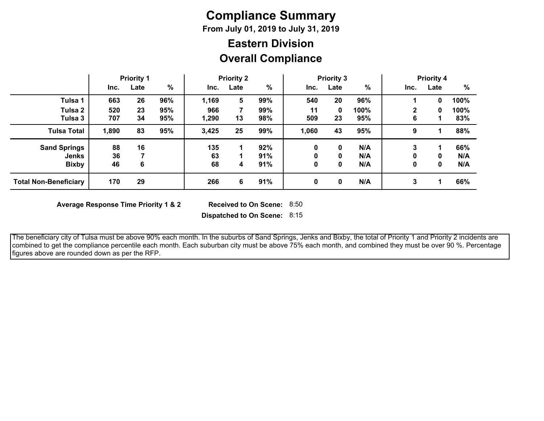# **Compliance Summary**

**From July 01, 2019 to July 31, 2019**

## **Overall Compliance Eastern Division**

|                              | <b>Priority 1</b> |      | <b>Priority 2</b> |       |      | <b>Priority 3</b> |              |      | <b>Priority 4</b> |              |      |      |
|------------------------------|-------------------|------|-------------------|-------|------|-------------------|--------------|------|-------------------|--------------|------|------|
|                              | Inc.              | Late | %                 | Inc.  | Late | %                 | Inc.         | Late | %                 | Inc.         | Late | %    |
| Tulsa 1                      | 663               | 26   | 96%               | 1,169 | 5    | 99%               | 540          | 20   | 96%               |              | 0    | 100% |
| Tulsa 2                      | 520               | 23   | 95%               | 966   |      | 99%               | 11           | 0    | 100%              | $\mathbf{2}$ | 0    | 100% |
| Tulsa 3                      | 707               | 34   | 95%               | 1,290 | 13   | 98%               | 509          | 23   | 95%               | 6            |      | 83%  |
| <b>Tulsa Total</b>           | 1,890             | 83   | 95%               | 3,425 | 25   | 99%               | 1,060        | 43   | 95%               | 9            |      | 88%  |
| <b>Sand Springs</b>          | 88                | 16   |                   | 135   |      | 92%               | $\mathbf 0$  | 0    | N/A               | 3            |      | 66%  |
| Jenks                        | 36                |      |                   | 63    |      | 91%               | 0            | 0    | N/A               | 0            | 0    | N/A  |
| <b>Bixby</b>                 | 46                | 6    |                   | 68    | 4    | 91%               | 0            | 0    | N/A               | 0            | 0    | N/A  |
| <b>Total Non-Beneficiary</b> | 170               | 29   |                   | 266   | 6    | 91%               | $\mathbf{0}$ | 0    | N/A               | 3            | и    | 66%  |

**Average Response Time Priority 1 & 2** 

Received to On Scene: 8:50

**Dispatched to On Scene:** 8:15

 The beneficiary city of Tulsa must be above 90% each month. In the suburbs of Sand Springs, Jenks and Bixby, the total of Priority 1 and Priority 2 incidents are combined to get the compliance percentile each month. Each suburban city must be above 75% each month, and combined they must be over 90 %. Percentage figures above are rounded down as per the RFP.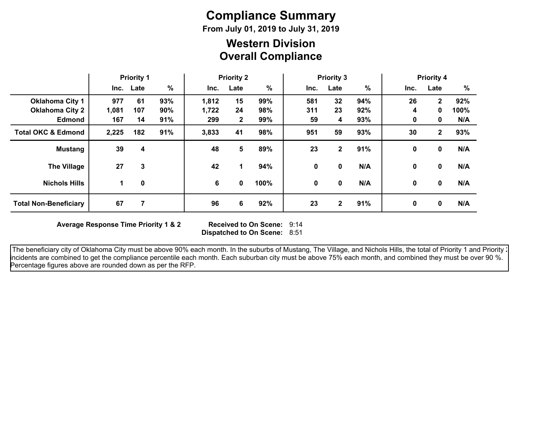# **Compliance Summary**

**From July 01, 2019 to July 31, 2019**

## **Overall Compliance Western Division**

|                               | <b>Priority 1</b> |           | <b>Priority 2</b> |       |              | <b>Priority 3</b> |      |                 | <b>Priority 4</b> |      |              |      |
|-------------------------------|-------------------|-----------|-------------------|-------|--------------|-------------------|------|-----------------|-------------------|------|--------------|------|
|                               |                   | Inc. Late | $\%$              | Inc.  | Late         | %                 | Inc. | Late            | $\frac{9}{6}$     | Inc. | Late         | %    |
| <b>Oklahoma City 1</b>        | 977               | 61        | 93%               | 1,812 | 15           | 99%               | 581  | 32 <sub>2</sub> | 94%               | 26   | $\mathbf{2}$ | 92%  |
| <b>Oklahoma City 2</b>        | 1,081             | 107       | 90%               | 1,722 | 24           | 98%               | 311  | 23              | 92%               | 4    | 0            | 100% |
| <b>Edmond</b>                 | 167               | 14        | 91%               | 299   | $\mathbf{2}$ | 99%               | 59   | 4               | 93%               | 0    | 0            | N/A  |
| <b>Total OKC &amp; Edmond</b> | 2,225             | 182       | 91%               | 3,833 | 41           | 98%               | 951  | 59              | 93%               | 30   | $\mathbf{2}$ | 93%  |
| <b>Mustang</b>                | 39                | 4         |                   | 48    | 5            | 89%               | 23   | $\mathbf{2}$    | 91%               | 0    | 0            | N/A  |
| <b>The Village</b>            | 27                | 3         |                   | 42    | 1            | 94%               | 0    | 0               | N/A               | 0    | 0            | N/A  |
| <b>Nichols Hills</b>          | 1                 | 0         |                   | 6     | 0            | 100%              | 0    | 0               | N/A               | 0    | $\mathbf{0}$ | N/A  |
| <b>Total Non-Beneficiary</b>  | 67                | 7         |                   | 96    | 6            | 92%               | 23   | $\mathbf{2}$    | 91%               | 0    | 0            | N/A  |

**Average Response Time Priority 1 & 2** 

**Dispatched to On Scene:** 8:51 Received to On Scene: 9:14

The beneficiary city of Oklahoma City must be above 90% each month. In the suburbs of Mustang, The Village, and Nichols Hills, the total of Priority 1 and Priority : incidents are combined to get the compliance percentile each month. Each suburban city must be above 75% each month, and combined they must be over 90 %. Percentage figures above are rounded down as per the RFP.